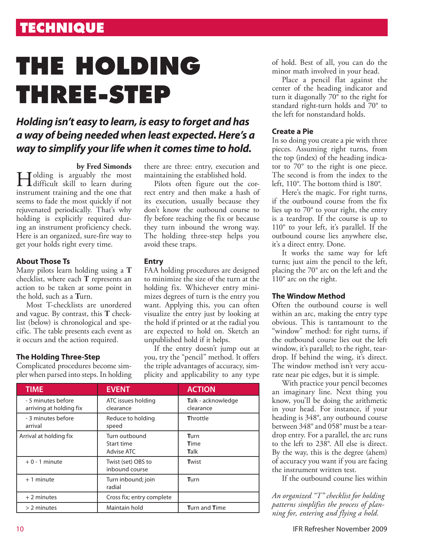# **technique**

# **The HOLDING THREE-STEP**

### *Holding isn't easy to learn, is easy to forget and has a way of being needed when least expected. Here's a way to simplify your life when it comes time to hold.*

**by Fred Simonds**<br> **d**olding is arguably the most Holding is arguably the most difficult skill to learn during instrument training and the one that seems to fade the most quickly if not rejuvenated periodically. That's why holding is explicitly required during an instrument proficiency check. Here is an organized, sure-fire way to get your holds right every time.

### **About Those Ts**

Many pilots learn holding using a **T** checklist, where each **T** represents an action to be taken at some point in the hold, such as a **T**urn.

Most T-checklists are unordered and vague. By contrast, this **T** checklist (below) is chronological and specific. The table presents each event as it occurs and the action required.

### **The Holding Three-Step**

Complicated procedures become simpler when parsed into steps. In holding there are three: entry, execution and maintaining the established hold.

Pilots often figure out the correct entry and then make a hash of its execution, usually because they don't know the outbound course to fly before reaching the fix or because they turn inbound the wrong way. The holding three-step helps you avoid these traps.

### **Entry**

FAA holding procedures are designed to minimize the size of the turn at the holding fix. Whichever entry minimizes degrees of turn is the entry you want. Applying this, you can often visualize the entry just by looking at the hold if printed or at the radial you are expected to hold on. Sketch an unpublished hold if it helps.

If the entry doesn't jump out at you, try the "pencil" method. It offers the triple advantages of accuracy, simplicity and applicability to any type

| <b>TIME</b>                                   | <b>EVENT</b>                              | <b>ACTION</b>                          |
|-----------------------------------------------|-------------------------------------------|----------------------------------------|
| - 5 minutes before<br>arriving at holding fix | ATC issues holding<br>clearance           | <b>Talk - acknowledge</b><br>clearance |
| - 3 minutes before<br>arrival                 | Reduce to holding<br>speed                | <b>Throttle</b>                        |
| Arrival at holding fix                        | Turn outbound<br>Start time<br>Advise ATC | Turn<br><b>T</b> ime<br><b>Talk</b>    |
| $+0 - 1$ minute                               | Twist (set) OBS to<br>inbound course      | Twist                                  |
| $+1$ minute                                   | Turn inbound; join<br>radial              | Turn                                   |
| $+2$ minutes                                  | Cross fix; entry complete                 |                                        |
| $> 2$ minutes                                 | Maintain hold                             | <b>Turn and Time</b>                   |

of hold. Best of all, you can do the minor math involved in your head.

Place a pencil flat against the center of the heading indicator and turn it diagonally 70° to the right for standard right-turn holds and 70° to the left for nonstandard holds.

### **Create a Pie**

In so doing you create a pie with three pieces. Assuming right turns, from the top (index) of the heading indicator to 70° to the right is one piece. The second is from the index to the left, 110°. The bottom third is 180°.

Here's the magic. For right turns, if the outbound course from the fix lies up to 70° to your right, the entry is a teardrop. If the course is up to 110° to your left, it's parallel. If the outbound course lies anywhere else, it's a direct entry. Done.

It works the same way for left turns; just aim the pencil to the left, placing the 70° arc on the left and the 110° arc on the right.

### **The Window Method**

Often the outbound course is well within an arc, making the entry type obvious. This is tantamount to the "window" method: for right turns, if the outbound course lies out the left window, it's parallel; to the right, teardrop. If behind the wing, it's direct. The window method isn't very accurate near pie edges, but it is simple.

With practice your pencil becomes an imaginary line. Next thing you know, you'll be doing the arithmetic in your head. For instance, if your heading is 348°, any outbound course between 348° and 058° must be a teardrop entry. For a parallel, the arc runs to the left to 238°. All else is direct. By the way, this is the degree (ahem) of accuracy you want if you are facing the instrument written test.

If the outbound course lies within

*An organized "T" checklist for holding patterns simplifies the process of planning for, entering and flying a hold.*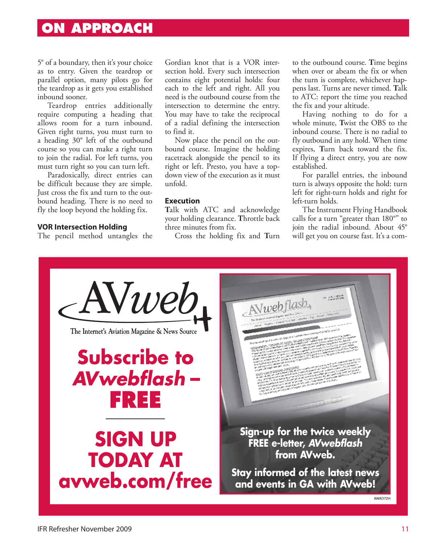### **On approach**

5° of a boundary, then it's your choice as to entry. Given the teardrop or parallel option, many pilots go for the teardrop as it gets you established inbound sooner.

Teardrop entries additionally require computing a heading that allows room for a turn inbound. Given right turns, you must turn to a heading 30° left of the outbound course so you can make a right turn to join the radial. For left turns, you must turn right so you can turn left.

Paradoxically, direct entries can be difficult because they are simple. Just cross the fix and turn to the outbound heading. There is no need to fly the loop beyond the holding fix.

#### **VOR Intersection Holding**

The pencil method untangles the

Gordian knot that is a VOR intersection hold. Every such intersection contains eight potential holds: four each to the left and right. All you need is the outbound course from the intersection to determine the entry. You may have to take the reciprocal of a radial defining the intersection to find it.

Now place the pencil on the outbound course. Imagine the holding racetrack alongside the pencil to its right or left. Presto, you have a topdown view of the execution as it must unfold.

#### **Execution**

**T**alk with ATC and acknowledge your holding clearance. **T**hrottle back three minutes from fix.

Cross the holding fix and **T**urn

to the outbound course. **T**ime begins when over or abeam the fix or when the turn is complete, whichever happens last. Turns are never timed. **T**alk to ATC: report the time you reached the fix and your altitude.

Having nothing to do for a whole minute, **T**wist the OBS to the inbound course. There is no radial to fly outbound in any hold. When time expires, **T**urn back toward the fix. If flying a direct entry, you are now established.

For parallel entries, the inbound turn is always opposite the hold: turn left for right-turn holds and right for left-turn holds.

The Instrument Flying Handbook calls for a turn "greater than 180°" to join the radial inbound. About 45° will get you on course fast. It's a com-